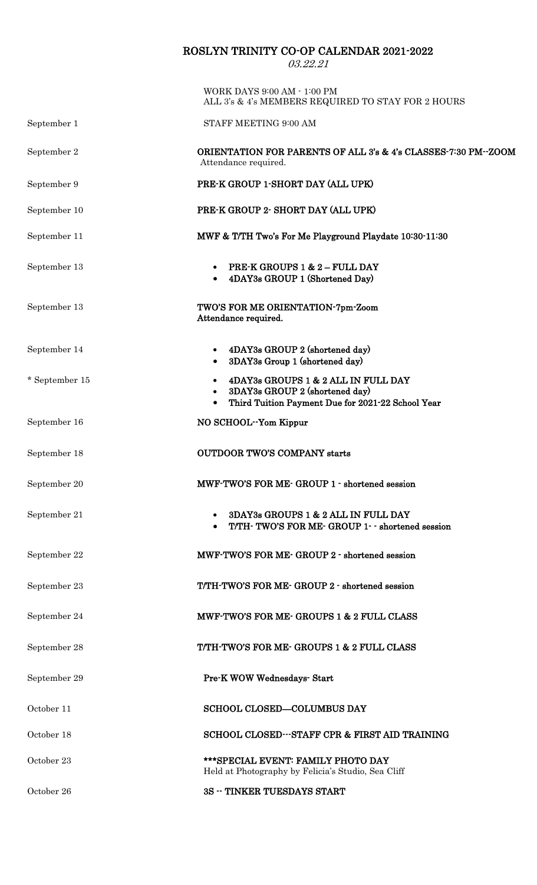## ROSLYN TRINITY CO-OP CALENDAR 2021-2022

03.22.21

|                | WORK DAYS 9:00 AM - 1:00 PM<br>ALL 3's & 4's MEMBERS REQUIRED TO STAY FOR 2 HOURS                                                                                 |  |
|----------------|-------------------------------------------------------------------------------------------------------------------------------------------------------------------|--|
| September 1    | STAFF MEETING 9:00 AM                                                                                                                                             |  |
| September 2    | ORIENTATION FOR PARENTS OF ALL 3's & 4's CLASSES-7:30 PM--ZOOM<br>Attendance required.                                                                            |  |
| September 9    | PRE-K GROUP 1-SHORT DAY (ALL UPK)                                                                                                                                 |  |
| September 10   | PRE-K GROUP 2- SHORT DAY (ALL UPK)                                                                                                                                |  |
| September 11   | MWF & T/TH Two's For Me Playground Playdate 10:30-11:30                                                                                                           |  |
| September 13   | <b>PRE-K GROUPS 1 &amp; 2 - FULL DAY</b><br>• 4DAY3s GROUP 1 (Shortened Day)                                                                                      |  |
| September 13   | TWO'S FOR ME ORIENTATION-7pm-Zoom<br>Attendance required.                                                                                                         |  |
| September 14   | 4DAY3s GROUP 2 (shortened day)<br>$\bullet$<br>3DAY3s Group 1 (shortened day)<br>$\bullet$                                                                        |  |
| * September 15 | 4DAY3s GROUPS 1 & 2 ALL IN FULL DAY<br>$\bullet$<br>3DAY3s GROUP 2 (shortened day)<br>$\bullet$<br>Third Tuition Payment Due for 2021-22 School Year<br>$\bullet$ |  |
| September 16   | NO SCHOOL-Yom Kippur                                                                                                                                              |  |
| September 18   | <b>OUTDOOR TWO'S COMPANY starts</b>                                                                                                                               |  |
| September 20   | MWF-TWO'S FOR ME- GROUP 1 - shortened session                                                                                                                     |  |
| September 21   | 3DAY3s GROUPS 1 & 2 ALL IN FULL DAY<br>$\bullet$<br>T/TH-TWO'S FOR ME-GROUP 1- - shortened session                                                                |  |
| September 22   | MWF-TWO'S FOR ME- GROUP 2 - shortened session                                                                                                                     |  |
| September 23   | T/TH-TWO'S FOR ME- GROUP 2 - shortened session                                                                                                                    |  |
| September 24   | MWF-TWO'S FOR ME- GROUPS 1 & 2 FULL CLASS                                                                                                                         |  |
| September 28   | T/TH-TWO'S FOR ME- GROUPS 1 & 2 FULL CLASS                                                                                                                        |  |
| September 29   | <b>Pre-K WOW Wednesdays- Start</b>                                                                                                                                |  |
| October 11     | <b>SCHOOL CLOSED-COLUMBUS DAY</b>                                                                                                                                 |  |
| October 18     | SCHOOL CLOSED---STAFF CPR & FIRST AID TRAINING                                                                                                                    |  |
| October 23     | *** SPECIAL EVENT: FAMILY PHOTO DAY<br>Held at Photography by Felicia's Studio, Sea Cliff                                                                         |  |
| October 26     | <b>3S -- TINKER TUESDAYS START</b>                                                                                                                                |  |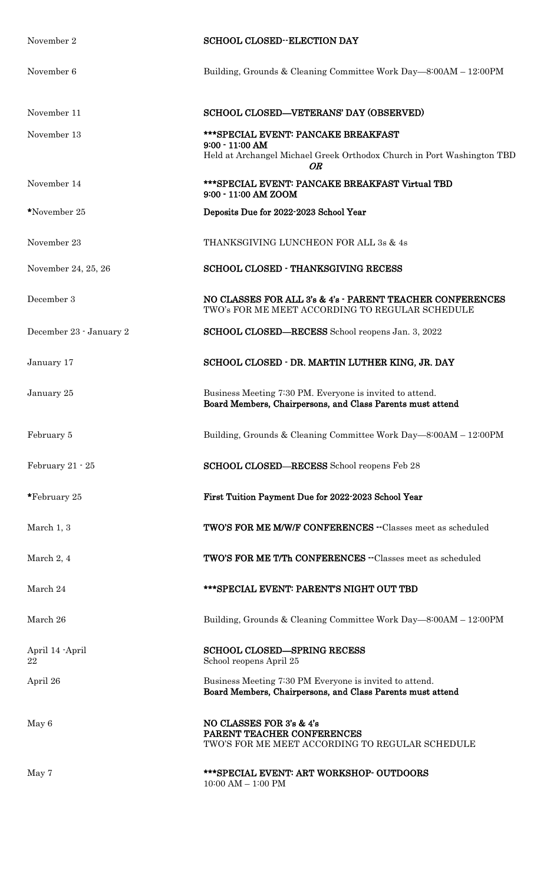| November 2              | <b>SCHOOL CLOSED--ELECTION DAY</b>                                                                                                       |
|-------------------------|------------------------------------------------------------------------------------------------------------------------------------------|
| November 6              | Building, Grounds & Cleaning Committee Work Day—8:00AM - 12:00PM                                                                         |
| November 11             | SCHOOL CLOSED-VETERANS' DAY (OBSERVED)                                                                                                   |
| November 13             | ***SPECIAL EVENT: PANCAKE BREAKFAST<br>$9:00 - 11:00$ AM<br>Held at Archangel Michael Greek Orthodox Church in Port Washington TBD<br>OR |
| November 14             | *** SPECIAL EVENT: PANCAKE BREAKFAST Virtual TBD<br>9:00 - 11:00 AM ZOOM                                                                 |
| *November 25            | Deposits Due for 2022-2023 School Year                                                                                                   |
| November 23             | THANKSGIVING LUNCHEON FOR ALL 3s & 4s                                                                                                    |
| November 24, 25, 26     | <b>SCHOOL CLOSED - THANKSGIVING RECESS</b>                                                                                               |
| December 3              | NO CLASSES FOR ALL 3's & 4's - PARENT TEACHER CONFERENCES<br>TWO's FOR ME MEET ACCORDING TO REGULAR SCHEDULE                             |
| December 23 - January 2 | SCHOOL CLOSED-RECESS School reopens Jan. 3, 2022                                                                                         |
| January 17              | SCHOOL CLOSED - DR. MARTIN LUTHER KING, JR. DAY                                                                                          |
| January 25              | Business Meeting 7:30 PM. Everyone is invited to attend.<br>Board Members, Chairpersons, and Class Parents must attend                   |
| February 5              | Building, Grounds & Cleaning Committee Work Day—8:00AM - 12:00PM                                                                         |
| February $21 - 25$      | SCHOOL CLOSED-RECESS School reopens Feb 28                                                                                               |
| *February 25            | First Tuition Payment Due for 2022-2023 School Year                                                                                      |
| March 1, 3              | <b>TWO'S FOR ME M/W/F CONFERENCES --Classes meet as scheduled</b>                                                                        |
| March 2, 4              | TWO'S FOR ME T/Th CONFERENCES --Classes meet as scheduled                                                                                |
| March 24                | *** SPECIAL EVENT: PARENT'S NIGHT OUT TBD                                                                                                |
| March 26                | Building, Grounds & Cleaning Committee Work Day—8:00AM - 12:00PM                                                                         |
| April 14 - April<br>22  | <b>SCHOOL CLOSED-SPRING RECESS</b><br>School reopens April 25                                                                            |
| April 26                | Business Meeting 7:30 PM Everyone is invited to attend.<br>Board Members, Chairpersons, and Class Parents must attend                    |
| May 6                   | NO CLASSES FOR 3's & 4's<br>PARENT TEACHER CONFERENCES<br>TWO'S FOR ME MEET ACCORDING TO REGULAR SCHEDULE                                |
| May 7                   | *** SPECIAL EVENT: ART WORKSHOP- OUTDOORS<br>$10:00$ AM $-$ 1:00 PM                                                                      |